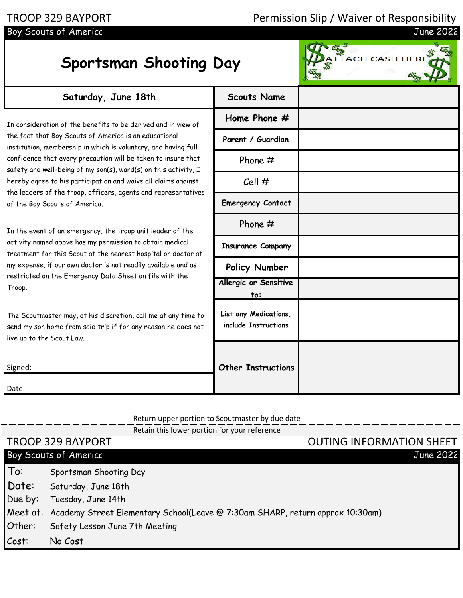## TROOP 329 BAYPORT Permission Slip / Waiver of Responsibility<br>Boy Scouts of America delaysing the state of America delaysing the state of America delaysing the state of the

## Boy Scouts of Americc

Date:

## **Sportsman Shooting Day**

| Saturday, June 18th                                                                                                                                                                                                                                                                                                                                                                            | <b>Scouts Name</b>                            |  |
|------------------------------------------------------------------------------------------------------------------------------------------------------------------------------------------------------------------------------------------------------------------------------------------------------------------------------------------------------------------------------------------------|-----------------------------------------------|--|
| In consideration of the benefits to be derived and in view of<br>the fact that Boy Scouts of America is an educational<br>institution, membership in which is voluntary, and having full<br>confidence that every precaution will be taken to insure that<br>safety and well-being of my son(s), ward(s) on this activity, I<br>hereby agree to his participation and waive all claims against | Home Phone $#$                                |  |
|                                                                                                                                                                                                                                                                                                                                                                                                | Parent / Guardian                             |  |
|                                                                                                                                                                                                                                                                                                                                                                                                | Phone $#$                                     |  |
|                                                                                                                                                                                                                                                                                                                                                                                                | Cell #                                        |  |
| the leaders of the troop, officers, agents and representatives<br>of the Boy Scouts of America.                                                                                                                                                                                                                                                                                                | <b>Emergency Contact</b>                      |  |
| In the event of an emergency, the troop unit leader of the<br>activity named above has my permission to obtain medical<br>treatment for this Scout at the nearest hospital or doctor at<br>my expense, if our own doctor is not readily available and as<br>restricted on the Emergency Data Sheet on file with the<br>Troop.                                                                  | Phone $#$                                     |  |
|                                                                                                                                                                                                                                                                                                                                                                                                | <b>Insurance Company</b>                      |  |
|                                                                                                                                                                                                                                                                                                                                                                                                | Policy Number                                 |  |
|                                                                                                                                                                                                                                                                                                                                                                                                | Allergic or Sensitive<br>to:                  |  |
| The Scoutmaster may, at his discretion, call me at any time to<br>send my son home from said trip if for any reason he does not<br>live up to the Scout Law.                                                                                                                                                                                                                                   | List any Medications,<br>include Instructions |  |
| Signed:                                                                                                                                                                                                                                                                                                                                                                                        | <b>Other Instructions</b>                     |  |

## Return upper portion to Scoutmaster by due date  $R_{\text{min}} = 1$  is lower portion for your reference

|         | Retail this lower portion for your reference                                           |                                 |
|---------|----------------------------------------------------------------------------------------|---------------------------------|
|         | <b>TROOP 329 BAYPORT</b>                                                               | <b>OUTING INFORMATION SHEET</b> |
|         | Boy Scouts of America                                                                  | <b>June 2022</b>                |
| To:     | Sportsman Shooting Day                                                                 |                                 |
| Date:   | Saturday, June 18th                                                                    |                                 |
| Due by: | Tuesday, June 14th                                                                     |                                 |
|         | Meet at: Academy Street Elementary School(Leave @ 7:30am SHARP, return approx 10:30am) |                                 |
| Other:  | Safety Lesson June 7th Meeting                                                         |                                 |
| Cost:   | No Cost                                                                                |                                 |